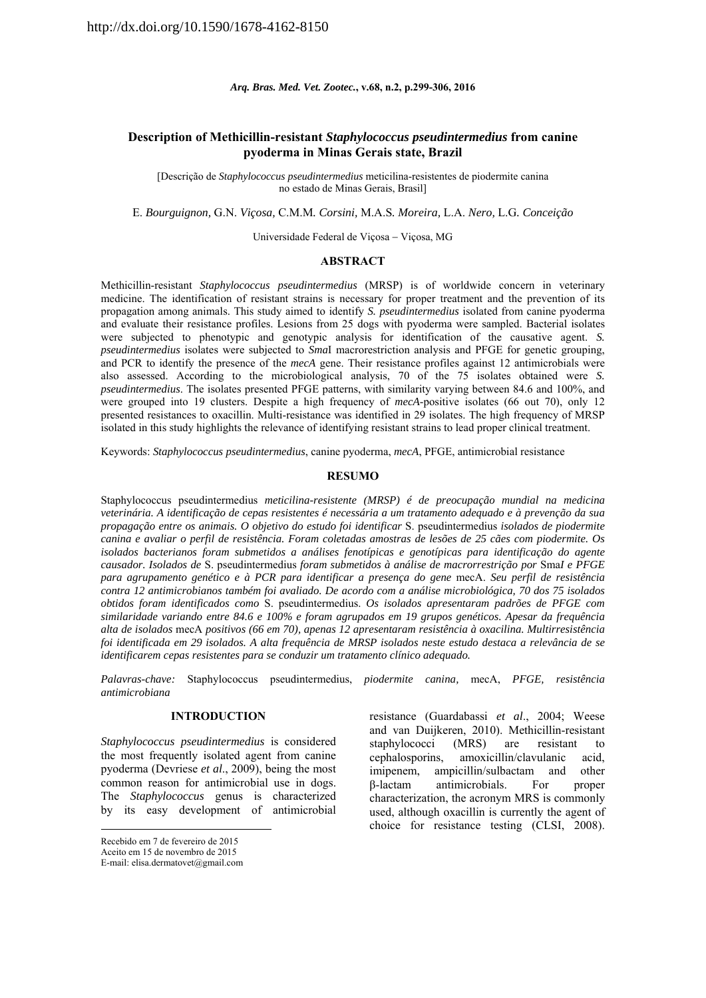*Arq. Bras. Med. Vet. Zootec.***, v.68, n.2, p.299-306, 2016** 

# **Description of Methicillin-resistant** *Staphylococcus pseudintermedius* **from canine pyoderma in Minas Gerais state, Brazil**

[Descrição de *Staphylococcus pseudintermedius* meticilina-resistentes de piodermite canina no estado de Minas Gerais, Brasil]

E. *Bourguignon,* G.N. *Viçosa,* C.M.M*. Corsini,* M.A.S*. Moreira,* L.A. *Nero,* L.G*. Conceição* 

Universidade Federal de Viçosa - Viçosa, MG

## **ABSTRACT**

Methicillin-resistant *Staphylococcus pseudintermedius* (MRSP) is of worldwide concern in veterinary medicine. The identification of resistant strains is necessary for proper treatment and the prevention of its propagation among animals. This study aimed to identify *S. pseudintermedius* isolated from canine pyoderma and evaluate their resistance profiles. Lesions from 25 dogs with pyoderma were sampled. Bacterial isolates were subjected to phenotypic and genotypic analysis for identification of the causative agent. *S. pseudintermedius* isolates were subjected to *Sma*I macrorestriction analysis and PFGE for genetic grouping, and PCR to identify the presence of the *mecA* gene. Their resistance profiles against 12 antimicrobials were also assessed. According to the microbiological analysis, 70 of the 75 isolates obtained were *S. pseudintermedius*. The isolates presented PFGE patterns, with similarity varying between 84.6 and 100%, and were grouped into 19 clusters. Despite a high frequency of *mecA*-positive isolates (66 out 70), only 12 presented resistances to oxacillin. Multi-resistance was identified in 29 isolates. The high frequency of MRSP isolated in this study highlights the relevance of identifying resistant strains to lead proper clinical treatment.

Keywords: *Staphylococcus pseudintermedius*, canine pyoderma, *mecA*, PFGE, antimicrobial resistance

## **RESUMO**

Staphylococcus pseudintermedius *meticilina-resistente (MRSP) é de preocupação mundial na medicina veterinária. A identificação de cepas resistentes é necessária a um tratamento adequado e à prevenção da sua propagação entre os animais. O objetivo do estudo foi identificar* S. pseudintermedius *isolados de piodermite canina e avaliar o perfil de resistência. Foram coletadas amostras de lesões de 25 cães com piodermite. Os isolados bacterianos foram submetidos a análises fenotípicas e genotípicas para identificação do agente causador. Isolados de* S. pseudintermedius *foram submetidos à análise de macrorrestrição por* Sma*I e PFGE para agrupamento genético e à PCR para identificar a presença do gene* mecA. *Seu perfil de resistência contra 12 antimicrobianos também foi avaliado. De acordo com a análise microbiológica, 70 dos 75 isolados obtidos foram identificados como* S. pseudintermedius. *Os isolados apresentaram padrões de PFGE com similaridade variando entre 84.6 e 100% e foram agrupados em 19 grupos genéticos. Apesar da frequência alta de isolados* mecA *positivos (66 em 70), apenas 12 apresentaram resistência à oxacilina. Multirresistência foi identificada em 29 isolados. A alta frequência de MRSP isolados neste estudo destaca a relevância de se identificarem cepas resistentes para se conduzir um tratamento clínico adequado.* 

*Palavras-chave:* Staphylococcus pseudintermedius, *piodermite canina,* mecA, *PFGE, resistência antimicrobiana*

## **INTRODUCTION**

*Staphylococcus pseudintermedius* is considered the most frequently isolated agent from canine pyoderma (Devriese *et al*., 2009), being the most common reason for antimicrobial use in dogs. The *Staphylococcus* genus is characterized by its easy development of antimicrobial

resistance (Guardabassi *et al*., 2004; Weese and van Duijkeren, 2010). Methicillin-resistant staphylococci (MRS) are resistant to cephalosporins, amoxicillin/clavulanic acid, imipenem, ampicillin/sulbactam and other β-lactam antimicrobials. For proper characterization, the acronym MRS is commonly used, although oxacillin is currently the agent of choice for resistance testing (CLSI, 2008).

Recebido em 7 de fevereiro de 2015

Aceito em 15 de novembro de 2015

E-mail: elisa.dermatovet@gmail.com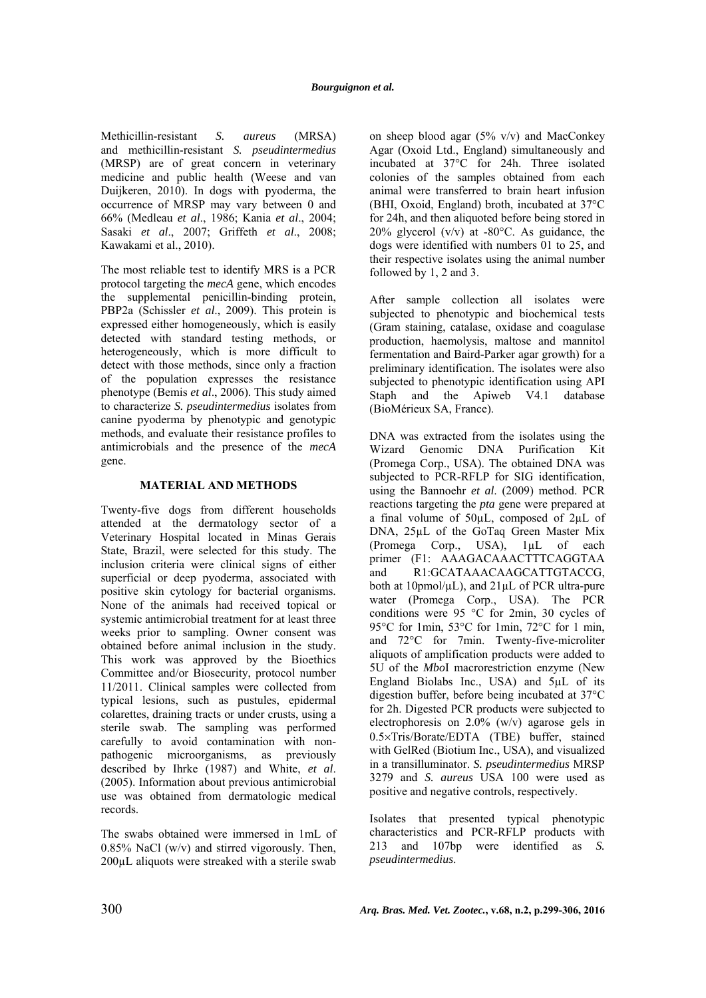Methicillin-resistant *S. aureus* (MRSA) and methicillin-resistant *S. pseudintermedius* (MRSP) are of great concern in veterinary medicine and public health (Weese and van Duijkeren, 2010). In dogs with pyoderma, the occurrence of MRSP may vary between 0 and 66% (Medleau *et al*., 1986; Kania *et al*., 2004; Sasaki *et al*., 2007; Griffeth *et al*., 2008; Kawakami et al., 2010).

The most reliable test to identify MRS is a PCR protocol targeting the *mecA* gene, which encodes the supplemental penicillin-binding protein, PBP2a (Schissler *et al*., 2009). This protein is expressed either homogeneously, which is easily detected with standard testing methods, or heterogeneously, which is more difficult to detect with those methods, since only a fraction of the population expresses the resistance phenotype (Bemis *et al*., 2006). This study aimed to characterize *S. pseudintermedius* isolates from canine pyoderma by phenotypic and genotypic methods, and evaluate their resistance profiles to antimicrobials and the presence of the *mecA*  gene.

# **MATERIAL AND METHODS**

Twenty-five dogs from different households attended at the dermatology sector of a Veterinary Hospital located in Minas Gerais State, Brazil, were selected for this study. The inclusion criteria were clinical signs of either superficial or deep pyoderma, associated with positive skin cytology for bacterial organisms. None of the animals had received topical or systemic antimicrobial treatment for at least three weeks prior to sampling. Owner consent was obtained before animal inclusion in the study. This work was approved by the Bioethics Committee and/or Biosecurity, protocol number 11/2011. Clinical samples were collected from typical lesions, such as pustules, epidermal colarettes, draining tracts or under crusts, using a sterile swab. The sampling was performed carefully to avoid contamination with nonpathogenic microorganisms, as previously described by Ihrke (1987) and White, *et al*. (2005). Information about previous antimicrobial use was obtained from dermatologic medical records.

The swabs obtained were immersed in 1mL of 0.85% NaCl (w/v) and stirred vigorously. Then, 200µL aliquots were streaked with a sterile swab

on sheep blood agar  $(5\% \text{ v/v})$  and MacConkey Agar (Oxoid Ltd., England) simultaneously and incubated at 37°C for 24h. Three isolated colonies of the samples obtained from each animal were transferred to brain heart infusion (BHI, Oxoid, England) broth, incubated at 37°C for 24h, and then aliquoted before being stored in 20% glycerol (v/v) at -80°C. As guidance, the dogs were identified with numbers 01 to 25, and their respective isolates using the animal number followed by 1, 2 and 3.

After sample collection all isolates were subjected to phenotypic and biochemical tests (Gram staining, catalase, oxidase and coagulase production, haemolysis, maltose and mannitol fermentation and Baird-Parker agar growth) for a preliminary identification. The isolates were also subjected to phenotypic identification using API Staph and the Apiweb V4.1 database (BioMérieux SA, France).

DNA was extracted from the isolates using the Wizard Genomic DNA Purification Kit (Promega Corp., USA). The obtained DNA was subjected to PCR-RFLP for SIG identification, using the Bannoehr *et al*. (2009) method. PCR reactions targeting the *pta* gene were prepared at a final volume of 50µL, composed of 2µL of DNA, 25µL of the GoTaq Green Master Mix (Promega Corp., USA), 1µL of each primer (F1: AAAGACAAACTTTCAGGTAA and R1:GCATAAACAAGCATTGTACCG, both at 10pmol/µL), and 21µL of PCR ultra-pure water (Promega Corp., USA). The PCR conditions were 95 °C for 2min, 30 cycles of 95°C for 1min, 53°C for 1min, 72°C for 1 min, and 72°C for 7min. Twenty-five-microliter aliquots of amplification products were added to 5U of the *Mbo*I macrorestriction enzyme (New England Biolabs Inc., USA) and 5µL of its digestion buffer, before being incubated at 37°C for 2h. Digested PCR products were subjected to electrophoresis on 2.0% (w/v) agarose gels in 0.5×Tris/Borate/EDTA (TBE) buffer, stained with GelRed (Biotium Inc., USA), and visualized in a transilluminator. *S. pseudintermedius* MRSP 3279 and *S. aureus* USA 100 were used as positive and negative controls, respectively.

Isolates that presented typical phenotypic characteristics and PCR-RFLP products with 213 and 107bp were identified as *S. pseudintermedius*.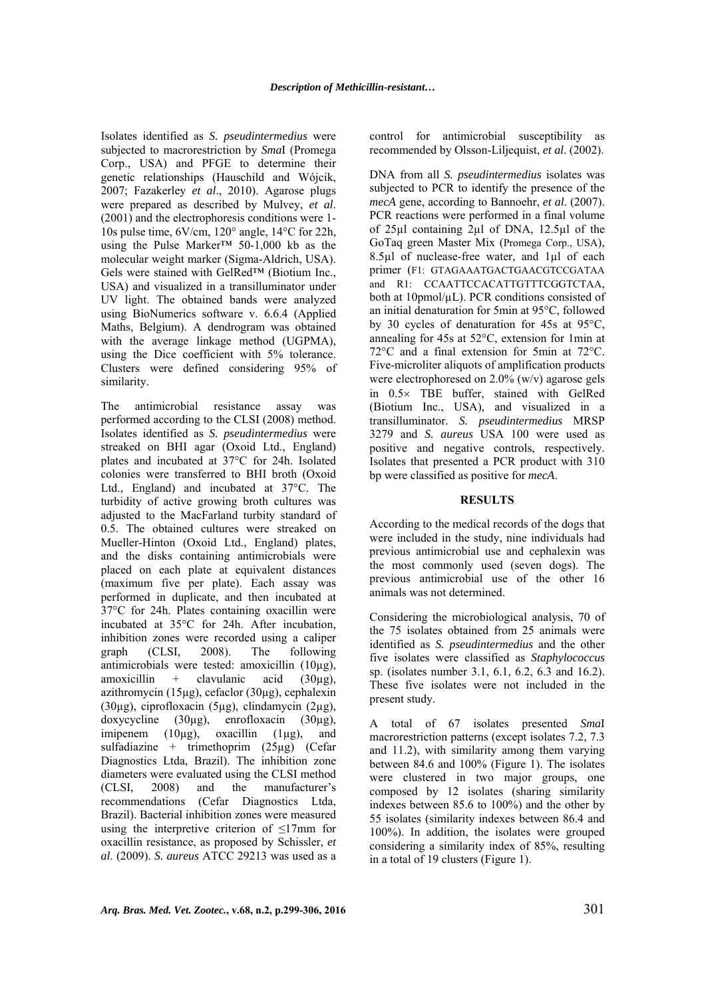Isolates identified as *S. pseudintermedius* were subjected to macrorestriction by *Sma*I (Promega Corp., USA) and PFGE to determine their genetic relationships (Hauschild and Wójcik, 2007; Fazakerley *et al*., 2010). Agarose plugs were prepared as described by Mulvey, *et al*. (2001) and the electrophoresis conditions were 1- 10s pulse time, 6V/cm, 120° angle, 14°C for 22h, using the Pulse Marker™ 50-1,000 kb as the molecular weight marker (Sigma-Aldrich, USA). Gels were stained with GelRed™ (Biotium Inc., USA) and visualized in a transilluminator under UV light. The obtained bands were analyzed using BioNumerics software v. 6.6.4 (Applied Maths, Belgium). A dendrogram was obtained with the average linkage method (UGPMA), using the Dice coefficient with 5% tolerance. Clusters were defined considering 95% of similarity.

The antimicrobial resistance assay was performed according to the CLSI (2008) method. Isolates identified as *S. pseudintermedius* were streaked on BHI agar (Oxoid Ltd., England) plates and incubated at 37°C for 24h. Isolated colonies were transferred to BHI broth (Oxoid Ltd., England) and incubated at 37°C. The turbidity of active growing broth cultures was adjusted to the MacFarland turbity standard of 0.5. The obtained cultures were streaked on Mueller-Hinton (Oxoid Ltd., England) plates, and the disks containing antimicrobials were placed on each plate at equivalent distances (maximum five per plate). Each assay was performed in duplicate, and then incubated at 37°C for 24h. Plates containing oxacillin were incubated at 35°C for 24h. After incubation, inhibition zones were recorded using a caliper graph (CLSI, 2008). The following antimicrobials were tested: amoxicillin (10µg), amoxicillin + clavulanic acid  $(30\mu g)$ , azithromycin (15µg), cefaclor (30µg), cephalexin (30µg), ciprofloxacin (5µg), clindamycin (2µg), doxycycline (30µg), enrofloxacin (30µg), imipenem  $(10\mu g)$ , oxacillin  $(1\mu g)$ , and sulfadiazine + trimethoprim (25µg) (Cefar Diagnostics Ltda, Brazil). The inhibition zone diameters were evaluated using the CLSI method (CLSI, 2008) and the manufacturer's recommendations (Cefar Diagnostics Ltda, Brazil). Bacterial inhibition zones were measured using the interpretive criterion of  $\leq 17$ mm for oxacillin resistance, as proposed by Schissler, *et al*. (2009). *S. aureus* ATCC 29213 was used as a control for antimicrobial susceptibility as recommended by Olsson-Liljequist, *et al*. (2002).

DNA from all *S. pseudintermedius* isolates was subjected to PCR to identify the presence of the *mecA* gene, according to Bannoehr, *et al*. (2007). PCR reactions were performed in a final volume of 25µl containing 2µl of DNA, 12.5µl of the GoTaq green Master Mix (Promega Corp., USA), 8.5µl of nuclease-free water, and 1µl of each primer (F1: GTAGAAATGACTGAACGTCCGATAA and R1: CCAATTCCACATTGTTTCGGTCTAA, both at 10pmol/µL). PCR conditions consisted of an initial denaturation for 5min at 95°C, followed by 30 cycles of denaturation for 45s at 95°C, annealing for 45s at 52°C, extension for 1min at 72°C and a final extension for 5min at 72°C. Five-microliter aliquots of amplification products were electrophoresed on 2.0% (w/v) agarose gels in  $0.5 \times$  TBE buffer, stained with GelRed (Biotium Inc., USA), and visualized in a transilluminator. *S. pseudintermedius* MRSP 3279 and *S. aureus* USA 100 were used as positive and negative controls, respectively. Isolates that presented a PCR product with 310 bp were classified as positive for *mecA*.

# **RESULTS**

According to the medical records of the dogs that were included in the study, nine individuals had previous antimicrobial use and cephalexin was the most commonly used (seven dogs). The previous antimicrobial use of the other 16 animals was not determined.

Considering the microbiological analysis, 70 of the 75 isolates obtained from 25 animals were identified as *S. pseudintermedius* and the other five isolates were classified as *Staphylococcus* sp. (isolates number 3.1, 6.1, 6.2, 6.3 and 16.2). These five isolates were not included in the present study.

A total of 67 isolates presented *Sma*I macrorestriction patterns (except isolates 7.2, 7.3 and 11.2), with similarity among them varying between 84.6 and 100% (Figure 1). The isolates were clustered in two major groups, one composed by 12 isolates (sharing similarity indexes between 85.6 to 100%) and the other by 55 isolates (similarity indexes between 86.4 and 100%). In addition, the isolates were grouped considering a similarity index of 85%, resulting in a total of 19 clusters (Figure 1).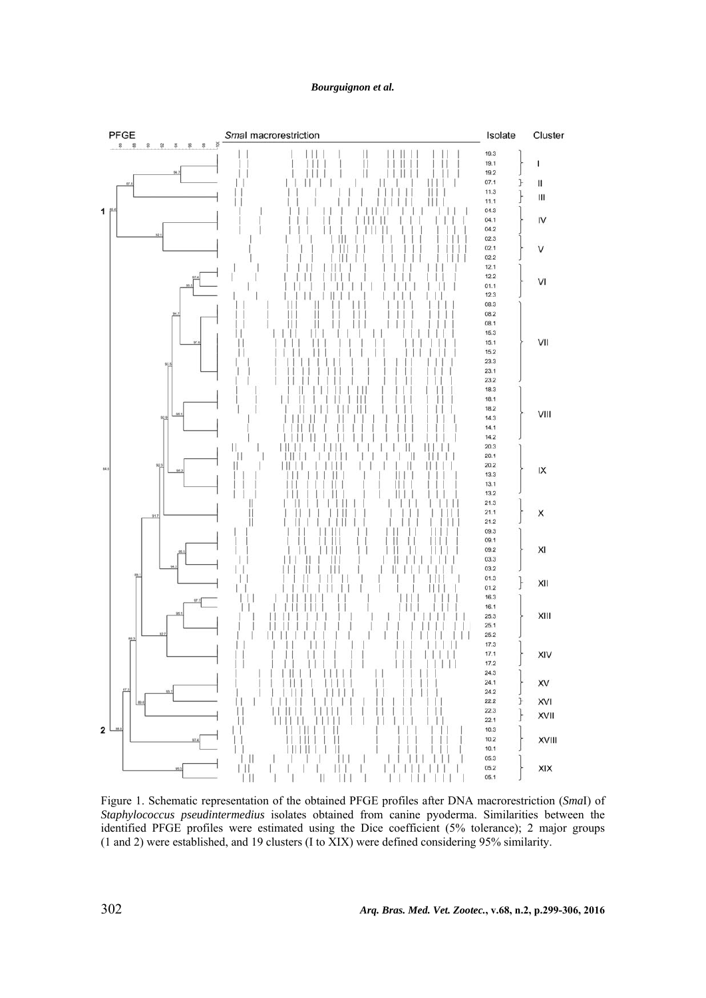## *Bourguignon et al.*



Figure 1. Schematic representation of the obtained PFGE profiles after DNA macrorestriction (*Sma*I) of *Staphylococcus pseudintermedius* isolates obtained from canine pyoderma. Similarities between the identified PFGE profiles were estimated using the Dice coefficient (5% tolerance); 2 major groups (1 and 2) were established, and 19 clusters (I to XIX) were defined considering 95% similarity.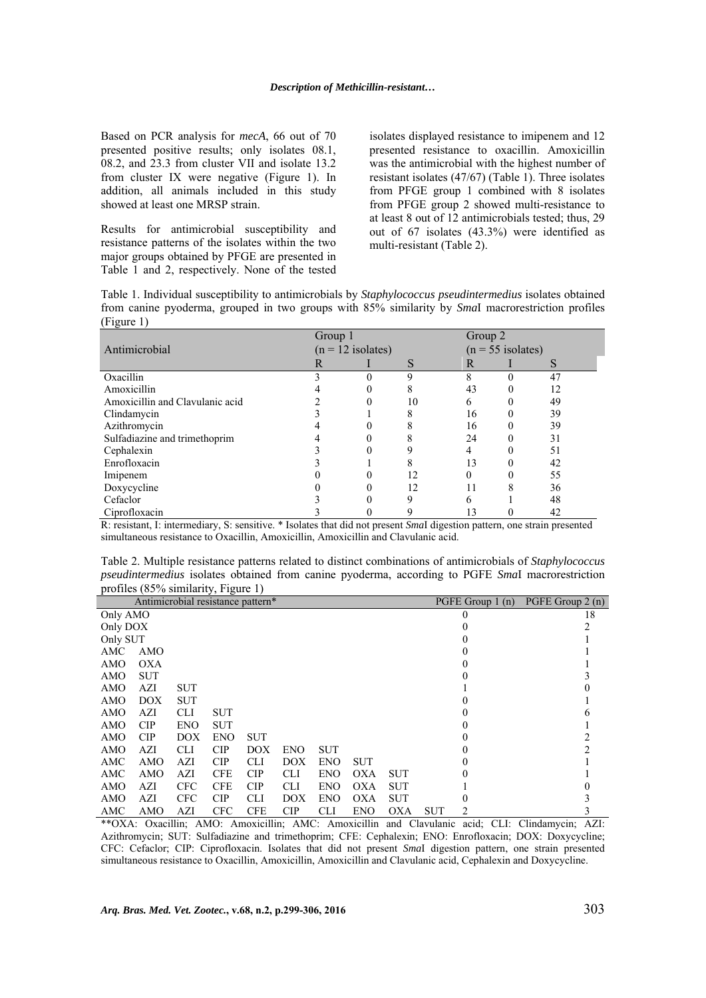Based on PCR analysis for *mecA*, 66 out of 70 presented positive results; only isolates 08.1, 08.2, and 23.3 from cluster VII and isolate 13.2 from cluster IX were negative (Figure 1). In addition, all animals included in this study showed at least one MRSP strain.

Results for antimicrobial susceptibility and resistance patterns of the isolates within the two major groups obtained by PFGE are presented in Table 1 and 2, respectively. None of the tested isolates displayed resistance to imipenem and 12 presented resistance to oxacillin. Amoxicillin was the antimicrobial with the highest number of resistant isolates (47/67) (Table 1). Three isolates from PFGE group 1 combined with 8 isolates from PFGE group 2 showed multi-resistance to at least 8 out of 12 antimicrobials tested; thus, 29 out of 67 isolates (43.3%) were identified as multi-resistant (Table 2).

Table 1. Individual susceptibility to antimicrobials by *Staphylococcus pseudintermedius* isolates obtained from canine pyoderma, grouped in two groups with 85% similarity by *Sma*I macrorestriction profiles (Figure 1)

|                                 | Group 1             |  | Group 2 |    |                     |    |  |
|---------------------------------|---------------------|--|---------|----|---------------------|----|--|
| Antimicrobial                   | $(n = 12$ isolates) |  |         |    | $(n = 55$ isolates) |    |  |
|                                 | R                   |  | S       | R  |                     | S  |  |
| Oxacillin                       |                     |  | q       |    |                     | 47 |  |
| Amoxicillin                     |                     |  | 8       | 43 |                     | 12 |  |
| Amoxicillin and Clavulanic acid |                     |  | 10      | 6  |                     | 49 |  |
| Clindamycin                     |                     |  | 8       | 16 |                     | 39 |  |
| Azithromycin                    |                     |  |         | 16 |                     | 39 |  |
| Sulfadiazine and trimethoprim   |                     |  |         | 24 |                     | 31 |  |
| Cephalexin                      |                     |  |         |    |                     | 51 |  |
| Enrofloxacin                    |                     |  |         | 13 |                     | 42 |  |
| Imipenem                        |                     |  | 12      |    |                     | 55 |  |
| Doxycycline                     |                     |  | 12      |    |                     | 36 |  |
| Cefaclor                        |                     |  |         | h  |                     | 48 |  |
| Ciprofloxacin                   |                     |  |         | 13 |                     | 42 |  |

R: resistant, I: intermediary, S: sensitive. \* Isolates that did not present *Sma*I digestion pattern, one strain presented simultaneous resistance to Oxacillin, Amoxicillin, Amoxicillin and Clavulanic acid.

Table 2. Multiple resistance patterns related to distinct combinations of antimicrobials of *Staphylococcus pseudintermedius* isolates obtained from canine pyoderma, according to PGFE *Sma*I macrorestriction profiles (85% similarity, Figure 1)

| Antimicrobial resistance pattern* |            |            |            |            |            |            |            |            |            |                  |                   |
|-----------------------------------|------------|------------|------------|------------|------------|------------|------------|------------|------------|------------------|-------------------|
|                                   |            |            |            |            |            |            |            |            |            | PGFE Group 1 (n) | PGFE Group $2(n)$ |
| Only AMO                          |            |            |            |            |            |            |            |            |            |                  | 18                |
| Only DOX                          |            |            |            |            |            |            |            |            |            |                  |                   |
| Only SUT                          |            |            |            |            |            |            |            |            |            |                  |                   |
| AMC                               | AMO        |            |            |            |            |            |            |            |            |                  |                   |
| AMO                               | <b>OXA</b> |            |            |            |            |            |            |            |            |                  |                   |
| AMO                               | <b>SUT</b> |            |            |            |            |            |            |            |            |                  |                   |
| AMO                               | AZI        | <b>SUT</b> |            |            |            |            |            |            |            |                  |                   |
| AMO                               | DOX        | <b>SUT</b> |            |            |            |            |            |            |            |                  |                   |
| AMO                               | AZI        | <b>CLI</b> | <b>SUT</b> |            |            |            |            |            |            |                  |                   |
| AMO                               | CIP        | <b>ENO</b> | <b>SUT</b> |            |            |            |            |            |            |                  |                   |
| AMO                               | CIP        | DOX        | <b>ENO</b> | <b>SUT</b> |            |            |            |            |            |                  |                   |
| AMO                               | AZI        | <b>CLI</b> | CIP        | DOX        | <b>ENO</b> | <b>SUT</b> |            |            |            |                  |                   |
| AMC                               | <b>AMO</b> | AZI        | CIP        | <b>CLI</b> | DOX        | <b>ENO</b> | <b>SUT</b> |            |            |                  |                   |
| AMC                               | <b>AMO</b> | AZI        | <b>CFE</b> | CIP        | <b>CLI</b> | <b>ENO</b> | <b>OXA</b> | <b>SUT</b> |            |                  |                   |
| AMO                               | AZI        | <b>CFC</b> | <b>CFE</b> | CIP        | <b>CLI</b> | <b>ENO</b> | <b>OXA</b> | <b>SUT</b> |            |                  |                   |
| AMO                               | AZI        | <b>CFC</b> | CIP        | <b>CLI</b> | DOX        | <b>ENO</b> | <b>OXA</b> | <b>SUT</b> |            |                  |                   |
| AMC                               | <b>AMO</b> | AZI        | <b>CFC</b> | <b>CFE</b> | <b>CIP</b> | <b>CLI</b> | <b>ENO</b> | <b>OXA</b> | <b>SUT</b> | 2                |                   |

\*\*OXA: Oxacillin; AMO: Amoxicillin; AMC: Amoxicillin and Clavulanic acid; CLI: Clindamycin; AZI: Azithromycin; SUT: Sulfadiazine and trimethoprim; CFE: Cephalexin; ENO: Enrofloxacin; DOX: Doxycycline; CFC: Cefaclor; CIP: Ciprofloxacin. Isolates that did not present *Sma*I digestion pattern, one strain presented simultaneous resistance to Oxacillin, Amoxicillin, Amoxicillin and Clavulanic acid, Cephalexin and Doxycycline.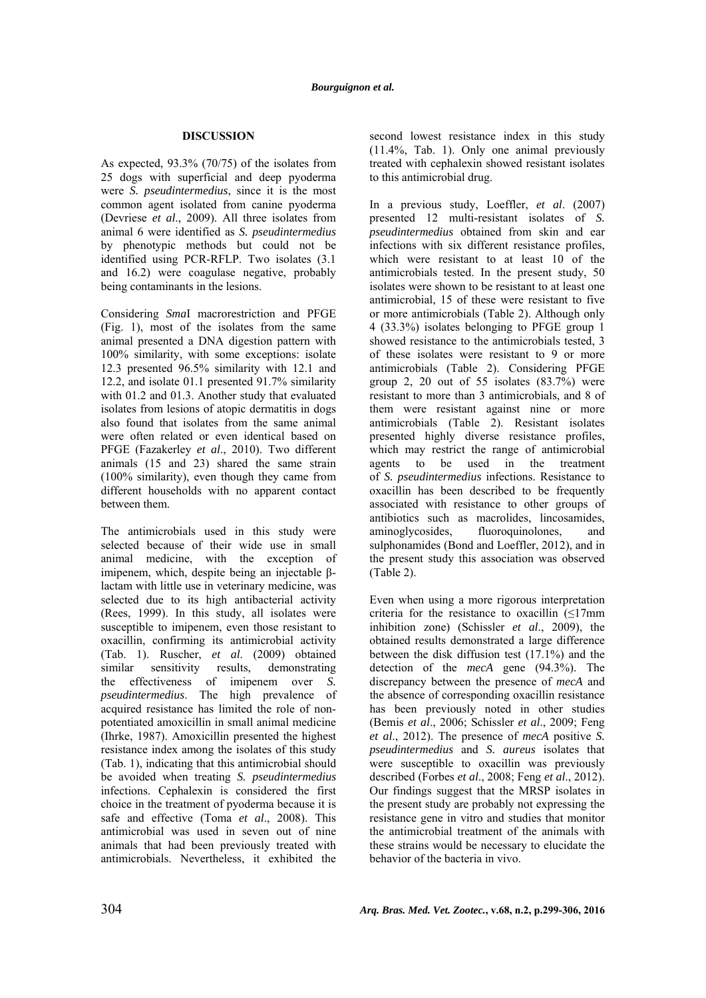## **DISCUSSION**

As expected, 93.3% (70/75) of the isolates from 25 dogs with superficial and deep pyoderma were *S. pseudintermedius*, since it is the most common agent isolated from canine pyoderma (Devriese *et al*., 2009). All three isolates from animal 6 were identified as *S. pseudintermedius* by phenotypic methods but could not be identified using PCR-RFLP. Two isolates (3.1 and 16.2) were coagulase negative, probably being contaminants in the lesions.

Considering *Sma*I macrorestriction and PFGE (Fig. 1), most of the isolates from the same animal presented a DNA digestion pattern with 100% similarity, with some exceptions: isolate 12.3 presented 96.5% similarity with 12.1 and 12.2, and isolate 01.1 presented 91.7% similarity with 01.2 and 01.3. Another study that evaluated isolates from lesions of atopic dermatitis in dogs also found that isolates from the same animal were often related or even identical based on PFGE (Fazakerley *et al*., 2010). Two different animals (15 and 23) shared the same strain (100% similarity), even though they came from different households with no apparent contact between them.

The antimicrobials used in this study were selected because of their wide use in small animal medicine, with the exception of imipenem, which, despite being an injectable βlactam with little use in veterinary medicine, was selected due to its high antibacterial activity (Rees, 1999). In this study, all isolates were susceptible to imipenem, even those resistant to oxacillin, confirming its antimicrobial activity (Tab. 1). Ruscher, *et al*. (2009) obtained similar sensitivity results, demonstrating the effectiveness of imipenem over *S. pseudintermedius*. The high prevalence of acquired resistance has limited the role of nonpotentiated amoxicillin in small animal medicine (Ihrke, 1987). Amoxicillin presented the highest resistance index among the isolates of this study (Tab. 1), indicating that this antimicrobial should be avoided when treating *S. pseudintermedius* infections. Cephalexin is considered the first choice in the treatment of pyoderma because it is safe and effective (Toma *et al*., 2008). This antimicrobial was used in seven out of nine animals that had been previously treated with antimicrobials. Nevertheless, it exhibited the

second lowest resistance index in this study (11.4%, Tab. 1). Only one animal previously treated with cephalexin showed resistant isolates to this antimicrobial drug.

In a previous study, Loeffler, *et al*. (2007) presented 12 multi-resistant isolates of *S. pseudintermedius* obtained from skin and ear infections with six different resistance profiles, which were resistant to at least 10 of the antimicrobials tested. In the present study, 50 isolates were shown to be resistant to at least one antimicrobial, 15 of these were resistant to five or more antimicrobials (Table 2). Although only 4 (33.3%) isolates belonging to PFGE group 1 showed resistance to the antimicrobials tested, 3 of these isolates were resistant to 9 or more antimicrobials (Table 2). Considering PFGE group 2, 20 out of 55 isolates (83.7%) were resistant to more than 3 antimicrobials, and 8 of them were resistant against nine or more antimicrobials (Table 2). Resistant isolates presented highly diverse resistance profiles, which may restrict the range of antimicrobial agents to be used in the treatment of *S. pseudintermedius* infections. Resistance to oxacillin has been described to be frequently associated with resistance to other groups of antibiotics such as macrolides, lincosamides, aminoglycosides, fluoroquinolones, and sulphonamides (Bond and Loeffler, 2012), and in the present study this association was observed (Table 2).

Even when using a more rigorous interpretation criteria for the resistance to oxacillin  $(\leq 17$ mm inhibition zone) (Schissler *et al*., 2009), the obtained results demonstrated a large difference between the disk diffusion test (17.1%) and the detection of the *mecA* gene (94.3%). The discrepancy between the presence of *mecA* and the absence of corresponding oxacillin resistance has been previously noted in other studies (Bemis *et al*., 2006; Schissler *et al*., 2009; Feng *et al*., 2012). The presence of *mecA* positive *S. pseudintermedius* and *S. aureus* isolates that were susceptible to oxacillin was previously described (Forbes *et al*., 2008; Feng *et al*., 2012). Our findings suggest that the MRSP isolates in the present study are probably not expressing the resistance gene in vitro and studies that monitor the antimicrobial treatment of the animals with these strains would be necessary to elucidate the behavior of the bacteria in vivo.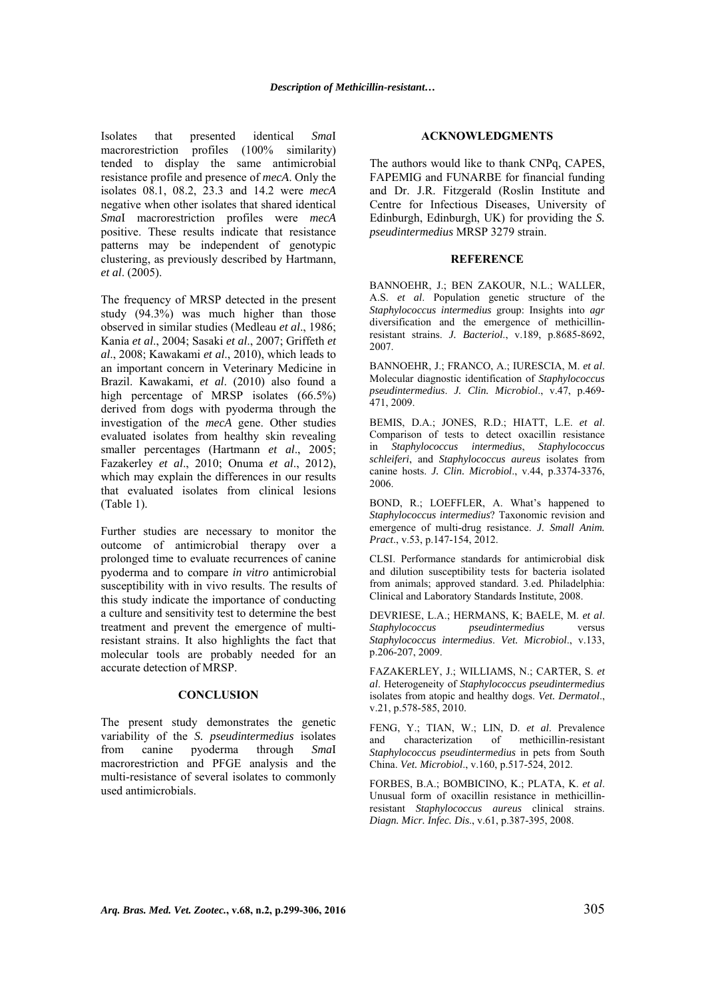Isolates that presented identical *Sma*I macrorestriction profiles (100% similarity) tended to display the same antimicrobial resistance profile and presence of *mecA*. Only the isolates 08.1, 08.2, 23.3 and 14.2 were *mecA* negative when other isolates that shared identical *Sma*I macrorestriction profiles were *mecA* positive. These results indicate that resistance patterns may be independent of genotypic clustering, as previously described by Hartmann, *et al*. (2005).

The frequency of MRSP detected in the present study (94.3%) was much higher than those observed in similar studies (Medleau *et al*., 1986; Kania *et al*., 2004; Sasaki *et al*., 2007; Griffeth *et al*., 2008; Kawakami *et al*., 2010), which leads to an important concern in Veterinary Medicine in Brazil. Kawakami, *et al*. (2010) also found a high percentage of MRSP isolates (66.5%) derived from dogs with pyoderma through the investigation of the *mecA* gene. Other studies evaluated isolates from healthy skin revealing smaller percentages (Hartmann *et al*., 2005; Fazakerley *et al*., 2010; Onuma *et al*., 2012), which may explain the differences in our results that evaluated isolates from clinical lesions (Table 1).

Further studies are necessary to monitor the outcome of antimicrobial therapy over a prolonged time to evaluate recurrences of canine pyoderma and to compare *in vitro* antimicrobial susceptibility with in vivo results. The results of this study indicate the importance of conducting a culture and sensitivity test to determine the best treatment and prevent the emergence of multiresistant strains. It also highlights the fact that molecular tools are probably needed for an accurate detection of MRSP.

## **CONCLUSION**

The present study demonstrates the genetic variability of the *S. pseudintermedius* isolates from canine pyoderma through *Sma*I macrorestriction and PFGE analysis and the multi-resistance of several isolates to commonly used antimicrobials.

### **ACKNOWLEDGMENTS**

The authors would like to thank CNPq, CAPES, FAPEMIG and FUNARBE for financial funding and Dr. J.R. Fitzgerald (Roslin Institute and Centre for Infectious Diseases, University of Edinburgh, Edinburgh, UK) for providing the *S. pseudintermedius* MRSP 3279 strain.

#### **REFERENCE**

BANNOEHR, J.; BEN ZAKOUR, N.L.; WALLER, A.S. *et al*. Population genetic structure of the *Staphylococcus intermedius* group: Insights into *agr* diversification and the emergence of methicillinresistant strains. *J. Bacteriol*., v.189, p.8685-8692, 2007.

BANNOEHR, J.; FRANCO, A.; IURESCIA, M. *et al*. Molecular diagnostic identification of *Staphylococcus pseudintermedius*. *J. Clin. Microbiol*., v.47, p.469- 471, 2009.

BEMIS, D.A.; JONES, R.D.; HIATT, L.E. *et al*. Comparison of tests to detect oxacillin resistance in *Staphylococcus intermedius*, *Staphylococcus schleiferi*, and *Staphylococcus aureus* isolates from canine hosts. *J. Clin. Microbiol*., v.44, p.3374-3376, 2006.

BOND, R.; LOEFFLER, A. What's happened to *Staphylococcus intermedius*? Taxonomic revision and emergence of multi-drug resistance. *J. Small Anim. Pract*., v.53, p.147-154, 2012.

CLSI. Performance standards for antimicrobial disk and dilution susceptibility tests for bacteria isolated from animals; approved standard. 3.ed. Philadelphia: Clinical and Laboratory Standards Institute, 2008.

DEVRIESE, L.A.; HERMANS, K; BAELE, M. *et al*. *Staphylococcus pseudintermedius* versus *Staphylococcus intermedius*. *Vet. Microbiol*., v.133, p.206-207, 2009.

FAZAKERLEY, J.; WILLIAMS, N.; CARTER, S. *et al*. Heterogeneity of *Staphylococcus pseudintermedius* isolates from atopic and healthy dogs. *Vet. Dermatol*., v.21, p.578-585, 2010.

FENG, Y.; TIAN, W.; LIN, D. *et al*. Prevalence and characterization of methicillin-resistant *Staphylococcus pseudintermedius* in pets from South China. *Vet. Microbiol*., v.160, p.517-524, 2012.

FORBES, B.A.; BOMBICINO, K.; PLATA, K. *et al*. Unusual form of oxacillin resistance in methicillinresistant *Staphylococcus aureus* clinical strains. *Diagn. Micr. Infec. Dis*., v.61, p.387-395, 2008.